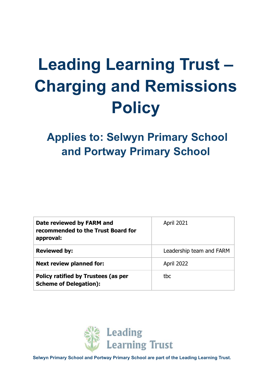# **Leading Learning Trust – Charging and Remissions Policy**

# **Applies to: Selwyn Primary School and Portway Primary School**

| Date reviewed by FARM and<br>recommended to the Trust Board for<br>approval: | <b>April 2021</b>        |
|------------------------------------------------------------------------------|--------------------------|
| <b>Reviewed by:</b>                                                          | Leadership team and FARM |
| <b>Next review planned for:</b>                                              | April 2022               |
| Policy ratified by Trustees (as per<br><b>Scheme of Delegation):</b>         | tbc                      |



**Selwyn Primary School and Portway Primary School are part of the Leading Learning Trust.**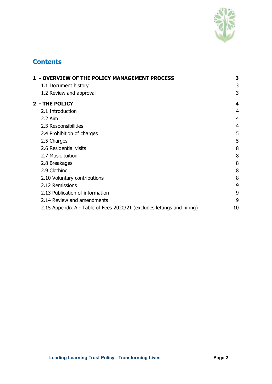

# **Contents**

| 1 - OVERVIEW OF THE POLICY MANAGEMENT PROCESS                          | 3              |
|------------------------------------------------------------------------|----------------|
| 1.1 Document history                                                   | 3              |
| 1.2 Review and approval                                                | 3              |
| 2 - THE POLICY                                                         | 4              |
| 2.1 Introduction                                                       | 4              |
| 2.2 Aim                                                                | 4              |
| 2.3 Responsibilities                                                   | $\overline{4}$ |
| 2.4 Prohibition of charges                                             | 5              |
| 2.5 Charges                                                            | 5              |
| 2.6 Residential visits                                                 | 8              |
| 2.7 Music tuition                                                      | 8              |
| 2.8 Breakages                                                          | 8              |
| 2.9 Clothing                                                           | 8              |
| 2.10 Voluntary contributions                                           | 8              |
| 2.12 Remissions                                                        | 9              |
| 2.13 Publication of information                                        | 9              |
| 2.14 Review and amendments                                             | 9              |
| 2.15 Appendix A - Table of Fees 2020/21 (excludes lettings and hiring) | 10             |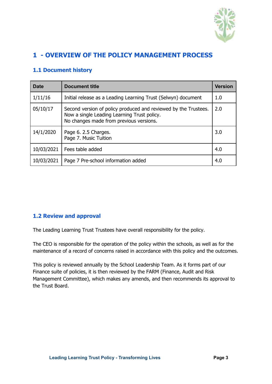

# <span id="page-2-0"></span>**1 - OVERVIEW OF THE POLICY MANAGEMENT PROCESS**

#### <span id="page-2-1"></span>**1.1 Document history**

| <b>Date</b> | Document title                                                                                                                                            |     |  |  |
|-------------|-----------------------------------------------------------------------------------------------------------------------------------------------------------|-----|--|--|
| 1/11/16     | Initial release as a Leading Learning Trust (Selwyn) document                                                                                             |     |  |  |
| 05/10/17    | Second version of policy produced and reviewed by the Trustees.<br>Now a single Leading Learning Trust policy.<br>No changes made from previous versions. | 2.0 |  |  |
| 14/1/2020   | Page 6. 2.5 Charges.<br>Page 7. Music Tuition                                                                                                             | 3.0 |  |  |
| 10/03/2021  | Fees table added                                                                                                                                          | 4.0 |  |  |
| 10/03/2021  | Page 7 Pre-school information added                                                                                                                       | 4.0 |  |  |

#### <span id="page-2-2"></span>**1.2 Review and approval**

The Leading Learning Trust Trustees have overall responsibility for the policy.

The CEO is responsible for the operation of the policy within the schools, as well as for the maintenance of a record of concerns raised in accordance with this policy and the outcomes.

This policy is reviewed annually by the School Leadership Team. As it forms part of our Finance suite of policies, it is then reviewed by the FARM (Finance, Audit and Risk Management Committee), which makes any amends, and then recommends its approval to the Trust Board.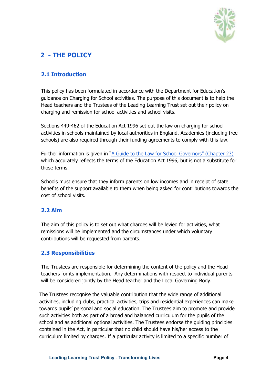

# <span id="page-3-0"></span>**2 - THE POLICY**

#### <span id="page-3-1"></span>**2.1 Introduction**

This policy has been formulated in accordance with the Department for Education's guidance on Charging for School activities. The purpose of this document is to help the Head teachers and the Trustees of the Leading Learning Trust set out their policy on charging and remission for school activities and school visits.

Sections 449-462 of the Education Act 1996 set out the law on charging for school activities in schools maintained by local authorities in England. Academies (including free schools) are also required through their funding agreements to comply with this law.

Further information is given in "A Guide to the Law for School [Governors"](https://dera.ioe.ac.uk/8971/1/GTTL_FINAL.pdf) (Chapter 23) which accurately reflects the terms of the Education Act 1996, but is not a substitute for those terms.

Schools must ensure that they inform parents on low incomes and in receipt of state benefits of the support available to them when being asked for contributions towards the cost of school visits.

#### <span id="page-3-2"></span>**2.2 Aim**

The aim of this policy is to set out what charges will be levied for activities, what remissions will be implemented and the circumstances under which voluntary contributions will be requested from parents.

#### <span id="page-3-3"></span>**2.3 Responsibilities**

The Trustees are responsible for determining the content of the policy and the Head teachers for its implementation. Any determinations with respect to individual parents will be considered jointly by the Head teacher and the Local Governing Body.

The Trustees recognise the valuable contribution that the wide range of additional activities, including clubs, practical activities, trips and residential experiences can make towards pupils' personal and social education. The Trustees aim to promote and provide such activities both as part of a broad and balanced curriculum for the pupils of the school and as additional optional activities. The Trustees endorse the guiding principles contained in the Act, in particular that no child should have his/her access to the curriculum limited by charges. If a particular activity is limited to a specific number of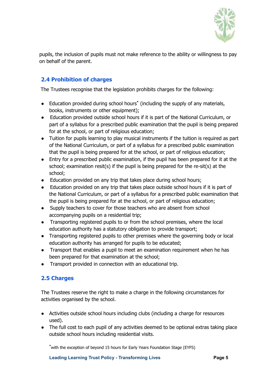

pupils, the inclusion of pupils must not make reference to the ability or willingness to pay on behalf of the parent.

### <span id="page-4-0"></span>**2.4 Prohibition of charges**

The Trustees recognise that the legislation prohibits charges for the following:

- Education provided during school hours **\*** (including the supply of any materials, books, instruments or other equipment);
- Education provided outside school hours if it is part of the National Curriculum, or part of a syllabus for a prescribed public examination that the pupil is being prepared for at the school, or part of religious education;
- Tuition for pupils learning to play musical instruments if the tuition is required as part of the National Curriculum, or part of a syllabus for a prescribed public examination that the pupil is being prepared for at the school, or part of religious education;
- Entry for a prescribed public examination, if the pupil has been prepared for it at the school; examination resit(s) if the pupil is being prepared for the re-sit(s) at the school;
- Education provided on any trip that takes place during school hours;
- Education provided on any trip that takes place outside school hours if it is part of the National Curriculum, or part of a syllabus for a prescribed public examination that the pupil is being prepared for at the school, or part of religious education;
- Supply teachers to cover for those teachers who are absent from school accompanying pupils on a residential trip;
- Transporting registered pupils to or from the school premises, where the local education authority has a statutory obligation to provide transport;
- Transporting registered pupils to other premises where the governing body or local education authority has arranged for pupils to be educated;
- Transport that enables a pupil to meet an examination requirement when he has been prepared for that examination at the school;
- Transport provided in connection with an educational trip.

#### <span id="page-4-1"></span>**2.5 Charges**

The Trustees reserve the right to make a charge in the following circumstances for activities organised by the school.

- Activities outside school hours including clubs (including a charge for resources used).
- The full cost to each pupil of any activities deemed to be optional extras taking place outside school hours including residential visits.

**\***with the exception of beyond 15 hours for Early Years Foundation Stage (EYFS)

**Leading Learning Trust Policy - Transforming Lives Page 5**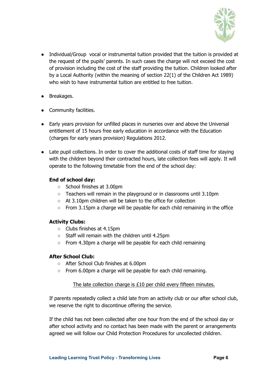

- Individual/Group vocal or instrumental tuition provided that the tuition is provided at the request of the pupils' parents. In such cases the charge will not exceed the cost of provision including the cost of the staff providing the tuition. Children looked after by a Local Authority (within the meaning of section 22(1) of the Children Act 1989) who wish to have instrumental tuition are entitled to free tuition.
- Breakages.
- Community facilities.
- Early years provision for unfilled places in nurseries over and above the Universal entitlement of 15 hours free early education in accordance with the Education (charges for early years provision) Regulations 2012.
- Late pupil collections. In order to cover the additional costs of staff time for staying with the children beyond their contracted hours, late collection fees will apply. It will operate to the following timetable from the end of the school day:

#### **End of school day:**

- School finishes at 3.00pm
- Teachers will remain in the playground or in classrooms until 3.10pm
- At 3.10pm children will be taken to the office for collection
- $\circ$  From 3.15pm a charge will be payable for each child remaining in the office

#### **Activity Clubs:**

- Clubs finishes at 4.15pm
- Staff will remain with the children until 4.25pm
- From 4.30pm a charge will be payable for each child remaining

#### **After School Club:**

- After School Club finishes at 6.00pm
- From 6.00pm a charge will be payable for each child remaining.

#### The late collection charge is £10 per child every fifteen minutes.

If parents repeatedly collect a child late from an activity club or our after school club, we reserve the right to discontinue offering the service.

If the child has not been collected after one hour from the end of the school day or after school activity and no contact has been made with the parent or arrangements agreed we will follow our Child Protection Procedures for uncollected children.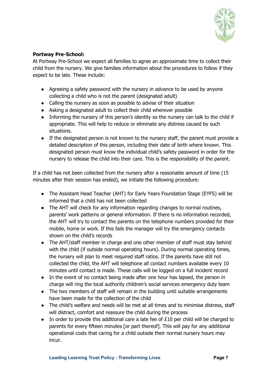

#### **Portway Pre-School:**

At Portway Pre-School we expect all families to agree an approximate time to collect their child from the nursery. We give families information about the procedures to follow if they expect to be late. These include:

- Agreeing a safety password with the nursery in advance to be used by anyone collecting a child who is not the parent (designated adult)
- Calling the nursery as soon as possible to advise of their situation
- Asking a designated adult to collect their child wherever possible
- Informing the nursery of this person's identity so the nursery can talk to the child if appropriate. This will help to reduce or eliminate any distress caused by such situations.
- If the designated person is not known to the nursery staff, the parent must provide a detailed description of this person, including their date of birth where known. This designated person must know the individual child's safety password in order for the nursery to release the child into their care. This is the responsibility of the parent.

If a child has not been collected from the nursery after a reasonable amount of time (15 minutes after their session has ended), we initiate the following procedure:

- The Assistant Head Teacher (AHT) for Early Years Foundation Stage (EYFS) will be informed that a child has not been collected
- The AHT will check for any information regarding changes to normal routines, parents' work patterns or general information. If there is no information recorded, the AHT will try to contact the parents on the telephone numbers provided for their mobile, home or work. If this fails the manager will try the emergency contacts shown on the child's records
- The AHT/staff member in charge and one other member of staff must stay behind with the child (if outside normal operating hours). During normal operating times, the nursery will plan to meet required staff ratios. If the parents have still not collected the child, the AHT will telephone all contact numbers available every 10 minutes until contact is made. These calls will be logged on a full incident record
- In the event of no contact being made after one hour has lapsed, the person in charge will ring the local authority children's social services emergency duty team
- The two members of staff will remain in the building until suitable arrangements have been made for the collection of the child
- The child's welfare and needs will be met at all times and to minimise distress, staff will distract, comfort and reassure the child during the process
- In order to provide this additional care a late fee of £10 per child will be charged to parents for every fifteen minutes [or part thereof]. This will pay for any additional operational costs that caring for a child outside their normal nursery hours may incur.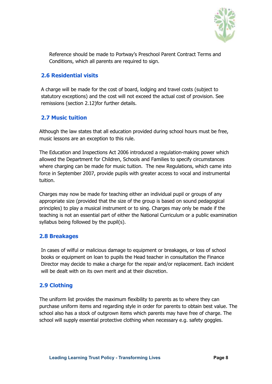

Reference should be made to Portway's Preschool Parent Contract Terms and Conditions, which all parents are required to sign.

#### <span id="page-7-0"></span>**2.6 Residential visits**

A charge will be made for the cost of board, lodging and travel costs (subject to statutory exceptions) and the cost will not exceed the actual cost of provision. See remissions (section 2.12)for further details.

#### <span id="page-7-1"></span>**2.7 Music tuition**

Although the law states that all education provided during school hours must be free, music lessons are an exception to this rule.

The Education and Inspections Act 2006 introduced a regulation-making power which allowed the Department for Children, Schools and Families to specify circumstances where charging can be made for music tuition. The new Regulations, which came into force in September 2007, provide pupils with greater access to vocal and instrumental tuition.

Charges may now be made for teaching either an individual pupil or groups of any appropriate size (provided that the size of the group is based on sound pedagogical principles) to play a musical instrument or to sing. Charges may only be made if the teaching is not an essential part of either the National Curriculum or a public examination syllabus being followed by the pupil(s).

#### <span id="page-7-2"></span>**2.8 Breakages**

In cases of wilful or malicious damage to equipment or breakages, or loss of school books or equipment on loan to pupils the Head teacher in consultation the Finance Director may decide to make a charge for the repair and/or replacement. Each incident will be dealt with on its own merit and at their discretion.

#### <span id="page-7-3"></span>**2.9 Clothing**

The uniform list provides the maximum flexibility to parents as to where they can purchase uniform items and regarding style in order for parents to obtain best value. The school also has a stock of outgrown items which parents may have free of charge. The school will supply essential protective clothing when necessary e.g. safety goggles.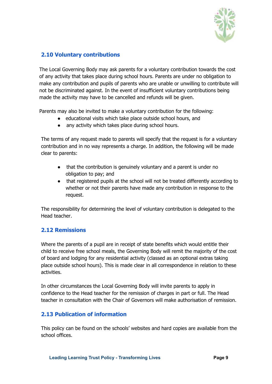

#### <span id="page-8-0"></span>**2.10 Voluntary contributions**

The Local Governing Body may ask parents for a voluntary contribution towards the cost of any activity that takes place during school hours. Parents are under no obligation to make any contribution and pupils of parents who are unable or unwilling to contribute will not be discriminated against. In the event of insufficient voluntary contributions being made the activity may have to be cancelled and refunds will be given.

Parents may also be invited to make a voluntary contribution for the following:

- educational visits which take place outside school hours, and
- any activity which takes place during school hours.

The terms of any request made to parents will specify that the request is for a voluntary contribution and in no way represents a charge. In addition, the following will be made clear to parents:

- that the contribution is genuinely voluntary and a parent is under no obligation to pay; and
- that registered pupils at the school will not be treated differently according to whether or not their parents have made any contribution in response to the request.

The responsibility for determining the level of voluntary contribution is delegated to the Head teacher.

#### <span id="page-8-1"></span>**2.12 Remissions**

Where the parents of a pupil are in receipt of state benefits which would entitle their child to receive free school meals, the Governing Body will remit the majority of the cost of board and lodging for any residential activity (classed as an optional extras taking place outside school hours). This is made clear in all correspondence in relation to these activities.

In other circumstances the Local Governing Body will invite parents to apply in confidence to the Head teacher for the remission of charges in part or full. The Head teacher in consultation with the Chair of Governors will make authorisation of remission.

#### <span id="page-8-2"></span>**2.13 Publication of information**

This policy can be found on the schools' websites and hard copies are available from the school offices.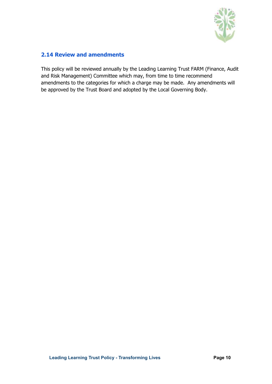

#### <span id="page-9-0"></span>**2.14 Review and amendments**

This policy will be reviewed annually by the Leading Learning Trust FARM (Finance, Audit and Risk Management) Committee which may, from time to time recommend amendments to the categories for which a charge may be made. Any amendments will be approved by the Trust Board and adopted by the Local Governing Body.